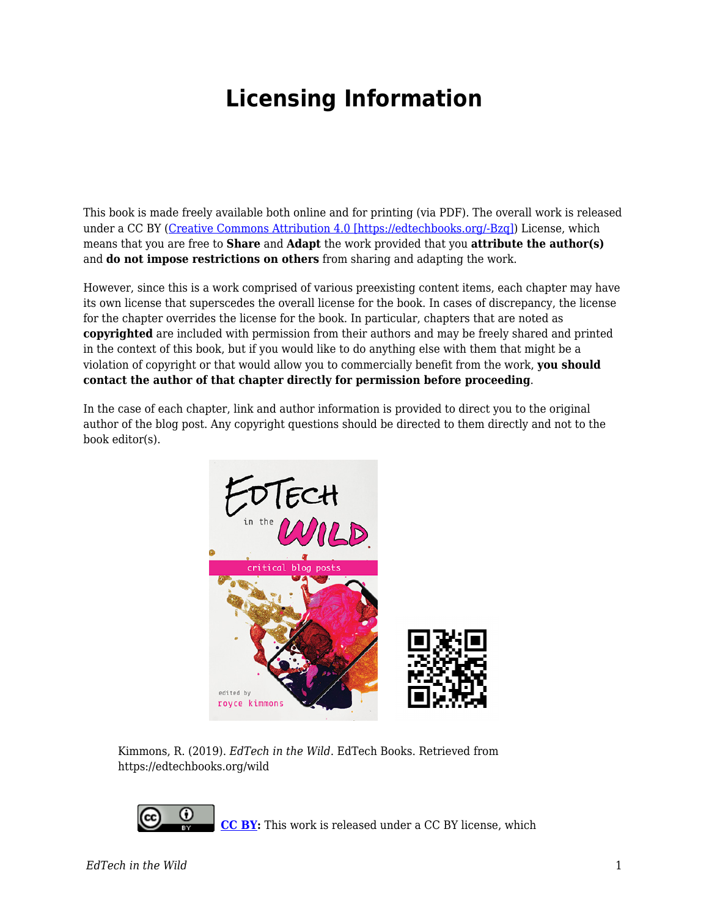## **Licensing Information**

This book is made freely available both online and for printing (via PDF). The overall work is released under a CC BY ([Creative Commons Attribution 4.0 \[https://edtechbooks.org/-Bzq\]\)](https://creativecommons.org/licenses/by/4.0/) License, which means that you are free to **Share** and **Adapt** the work provided that you **attribute the author(s)** and **do not impose restrictions on others** from sharing and adapting the work.

However, since this is a work comprised of various preexisting content items, each chapter may have its own license that superscedes the overall license for the book. In cases of discrepancy, the license for the chapter overrides the license for the book. In particular, chapters that are noted as **copyrighted** are included with permission from their authors and may be freely shared and printed in the context of this book, but if you would like to do anything else with them that might be a violation of copyright or that would allow you to commercially benefit from the work, **you should contact the author of that chapter directly for permission before proceeding**.

In the case of each chapter, link and author information is provided to direct you to the original author of the blog post. Any copyright questions should be directed to them directly and not to the book editor(s).



Kimmons, R. (2019). *EdTech in the Wild*. EdTech Books. Retrieved from https://edtechbooks.org/wild



**[CC BY](https://creativecommons.org/licenses/by/4.0):** This work is released under a CC BY license, which